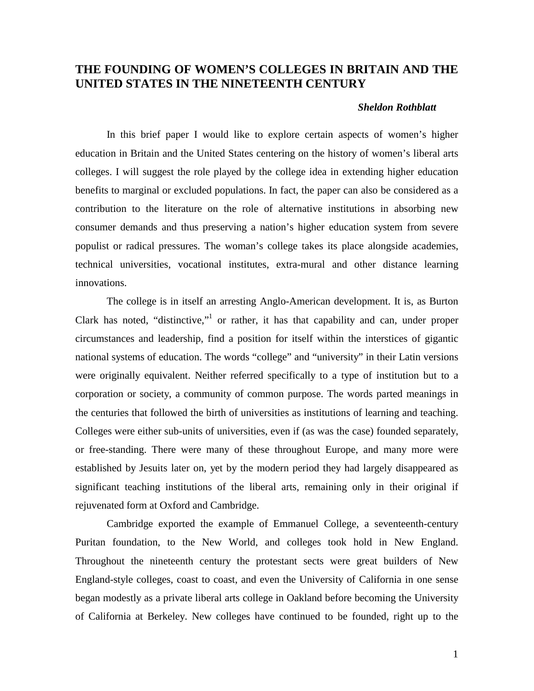## **THE FOUNDING OF WOMEN'S COLLEGES IN BRITAIN AND THE UNITED STATES IN THE NINETEENTH CENTURY**

## *Sheldon Rothblatt*

In this brief paper I would like to explore certain aspects of women's higher education in Britain and the United States centering on the history of women's liberal arts colleges. I will suggest the role played by the college idea in extending higher education benefits to marginal or excluded populations. In fact, the paper can also be considered as a contribution to the literature on the role of alternative institutions in absorbing new consumer demands and thus preserving a nation's higher education system from severe populist or radical pressures. The woman's college takes its place alongside academies, technical universities, vocational institutes, extra-mural and other distance learning innovations.

The college is in itself an arresting Anglo-American development. It is, as Burton Clark has noted, "distinctive,"<sup>1</sup> or rather, it has that capability and can, under proper circumstances and leadership, find a position for itself within the interstices of gigantic national systems of education. The words "college" and "university" in their Latin versions were originally equivalent. Neither referred specifically to a type of institution but to a corporation or society, a community of common purpose. The words parted meanings in the centuries that followed the birth of universities as institutions of learning and teaching. Colleges were either sub-units of universities, even if (as was the case) founded separately, or free-standing. There were many of these throughout Europe, and many more were established by Jesuits later on, yet by the modern period they had largely disappeared as significant teaching institutions of the liberal arts, remaining only in their original if rejuvenated form at Oxford and Cambridge.

Cambridge exported the example of Emmanuel College, a seventeenth-century Puritan foundation, to the New World, and colleges took hold in New England. Throughout the nineteenth century the protestant sects were great builders of New England-style colleges, coast to coast, and even the University of California in one sense began modestly as a private liberal arts college in Oakland before becoming the University of California at Berkeley. New colleges have continued to be founded, right up to the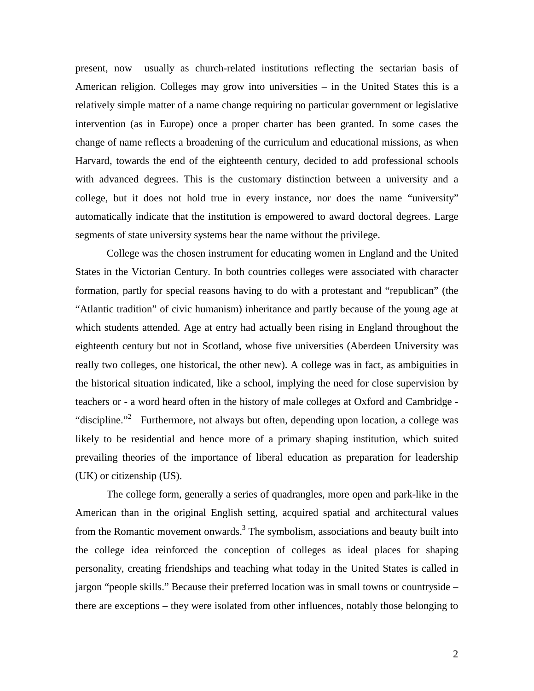present, now usually as church-related institutions reflecting the sectarian basis of American religion. Colleges may grow into universities – in the United States this is a relatively simple matter of a name change requiring no particular government or legislative intervention (as in Europe) once a proper charter has been granted. In some cases the change of name reflects a broadening of the curriculum and educational missions, as when Harvard, towards the end of the eighteenth century, decided to add professional schools with advanced degrees. This is the customary distinction between a university and a college, but it does not hold true in every instance, nor does the name "university" automatically indicate that the institution is empowered to award doctoral degrees. Large segments of state university systems bear the name without the privilege.

College was the chosen instrument for educating women in England and the United States in the Victorian Century. In both countries colleges were associated with character formation, partly for special reasons having to do with a protestant and "republican" (the "Atlantic tradition" of civic humanism) inheritance and partly because of the young age at which students attended. Age at entry had actually been rising in England throughout the eighteenth century but not in Scotland, whose five universities (Aberdeen University was really two colleges, one historical, the other new). A college was in fact, as ambiguities in the historical situation indicated, like a school, implying the need for close supervision by teachers or - a word heard often in the history of male colleges at Oxford and Cambridge - "discipline."<sup>2</sup> Furthermore, not always but often, depending upon location, a college was likely to be residential and hence more of a primary shaping institution, which suited prevailing theories of the importance of liberal education as preparation for leadership (UK) or citizenship (US).

The college form, generally a series of quadrangles, more open and park-like in the American than in the original English setting, acquired spatial and architectural values from the Romantic movement onwards.<sup>3</sup> The symbolism, associations and beauty built into the college idea reinforced the conception of colleges as ideal places for shaping personality, creating friendships and teaching what today in the United States is called in jargon "people skills." Because their preferred location was in small towns or countryside – there are exceptions – they were isolated from other influences, notably those belonging to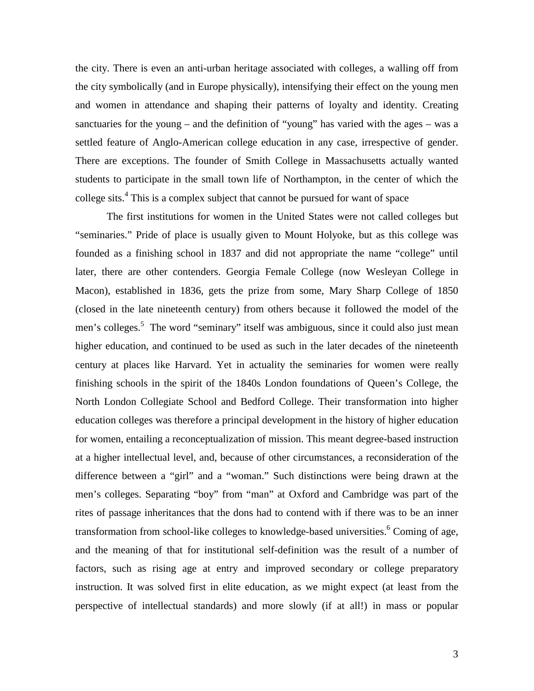the city. There is even an anti-urban heritage associated with colleges, a walling off from the city symbolically (and in Europe physically), intensifying their effect on the young men and women in attendance and shaping their patterns of loyalty and identity. Creating sanctuaries for the young – and the definition of "young" has varied with the ages – was a settled feature of Anglo-American college education in any case, irrespective of gender. There are exceptions. The founder of Smith College in Massachusetts actually wanted students to participate in the small town life of Northampton, in the center of which the college sits.<sup>[4](#page-9-0)</sup> This is a complex subject that cannot be pursued for want of space

The first institutions for women in the United States were not called colleges but "seminaries." Pride of place is usually given to Mount Holyoke, but as this college was founded as a finishing school in 1837 and did not appropriate the name "college" until later, there are other contenders. Georgia Female College (now Wesleyan College in Macon), established in 1836, gets the prize from some, Mary Sharp College of 1850 (closed in the late nineteenth century) from others because it followed the model of the men's colleges.<sup>5</sup> The word "seminary" itself was ambiguous, since it could also just mean higher education, and continued to be used as such in the later decades of the nineteenth century at places like Harvard. Yet in actuality the seminaries for women were really finishing schools in the spirit of the 1840s London foundations of Queen's College, the North London Collegiate School and Bedford College. Their transformation into higher education colleges was therefore a principal development in the history of higher education for women, entailing a reconceptualization of mission. This meant degree-based instruction at a higher intellectual level, and, because of other circumstances, a reconsideration of the difference between a "girl" and a "woman." Such distinctions were being drawn at the men's colleges. Separating "boy" from "man" at Oxford and Cambridge was part of the rites of passage inheritances that the dons had to contend with if there was to be an inner transformation from school-like colleges to knowledge-based universities.<sup>6</sup> Coming of age, and the meaning of that for institutional self-definition was the result of a number of factors, such as rising age at entry and improved secondary or college preparatory instruction. It was solved first in elite education, as we might expect (at least from the perspective of intellectual standards) and more slowly (if at all!) in mass or popular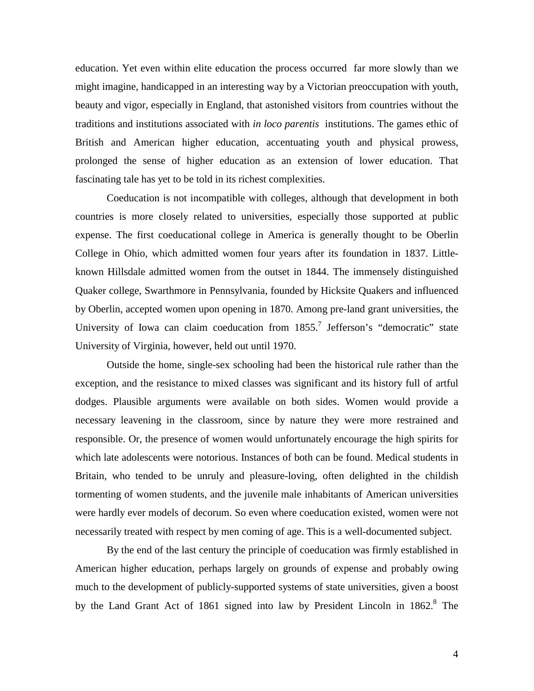education. Yet even within elite education the process occurred far more slowly than we might imagine, handicapped in an interesting way by a Victorian preoccupation with youth, beauty and vigor, especially in England, that astonished visitors from countries without the traditions and institutions associated with *in loco parentis* institutions. The games ethic of British and American higher education, accentuating youth and physical prowess, prolonged the sense of higher education as an extension of lower education. That fascinating tale has yet to be told in its richest complexities.

Coeducation is not incompatible with colleges, although that development in both countries is more closely related to universities, especially those supported at public expense. The first coeducational college in America is generally thought to be Oberlin College in Ohio, which admitted women four years after its foundation in 1837. Littleknown Hillsdale admitted women from the outset in 1844. The immensely distinguished Quaker college, Swarthmore in Pennsylvania, founded by Hicksite Quakers and influenced by Oberlin, accepted women upon opening in 1870. Among pre-land grant universities, the University of Iowa can claim coeducation from  $1855$ .<sup>7</sup> Jefferson's "democratic" state University of Virginia, however, held out until 1970.

Outside the home, single-sex schooling had been the historical rule rather than the exception, and the resistance to mixed classes was significant and its history full of artful dodges. Plausible arguments were available on both sides. Women would provide a necessary leavening in the classroom, since by nature they were more restrained and responsible. Or, the presence of women would unfortunately encourage the high spirits for which late adolescents were notorious. Instances of both can be found. Medical students in Britain, who tended to be unruly and pleasure-loving, often delighted in the childish tormenting of women students, and the juvenile male inhabitants of American universities were hardly ever models of decorum. So even where coeducation existed, women were not necessarily treated with respect by men coming of age. This is a well-documented subject.

By the end of the last century the principle of coeducation was firmly established in American higher education, perhaps largely on grounds of expense and probably owing much to the development of publicly-supported systems of state universities, given a boost by the Land Grant Act of 1[8](#page-9-0)61 signed into law by President Lincoln in 1862.<sup>8</sup> The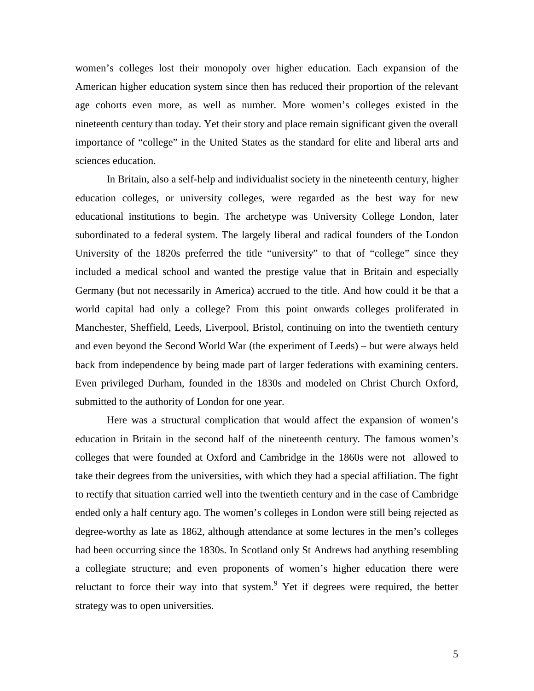women's colleges lost their monopoly over higher education. Each expansion of the American higher education system since then has reduced their proportion of the relevant age cohorts even more, as well as number. More women's colleges existed in the nineteenth century than today. Yet their story and place remain significant given the overall importance of "college" in the United States as the standard for elite and liberal arts and sciences education.

In Britain, also a self-help and individualist society in the nineteenth century, higher education colleges, or university colleges, were regarded as the best way for new educational institutions to begin. The archetype was University College London, later subordinated to a federal system. The largely liberal and radical founders of the London University of the 1820s preferred the title "university" to that of "college" since they included a medical school and wanted the prestige value that in Britain and especially Germany (but not necessarily in America) accrued to the title. And how could it be that a world capital had only a college? From this point onwards colleges proliferated in Manchester, Sheffield, Leeds, Liverpool, Bristol, continuing on into the twentieth century and even beyond the Second World War (the experiment of Leeds) – but were always held back from independence by being made part of larger federations with examining centers. Even privileged Durham, founded in the 1830s and modeled on Christ Church Oxford, submitted to the authority of London for one year.

Here was a structural complication that would affect the expansion of women's education in Britain in the second half of the nineteenth century. The famous women's colleges that were founded at Oxford and Cambridge in the 1860s were not allowed to take their degrees from the universities, with which they had a special affiliation. The fight to rectify that situation carried well into the twentieth century and in the case of Cambridge ended only a half century ago. The women's colleges in London were still being rejected as degree-worthy as late as 1862, although attendance at some lectures in the men's colleges had been occurring since the 1830s. In Scotland only St Andrews had anything resembling a collegiate structure; and even proponents of women's higher education there were reluctant to force their way into that system.<sup>9</sup> Yet if degrees were required, the better strategy was to open universities.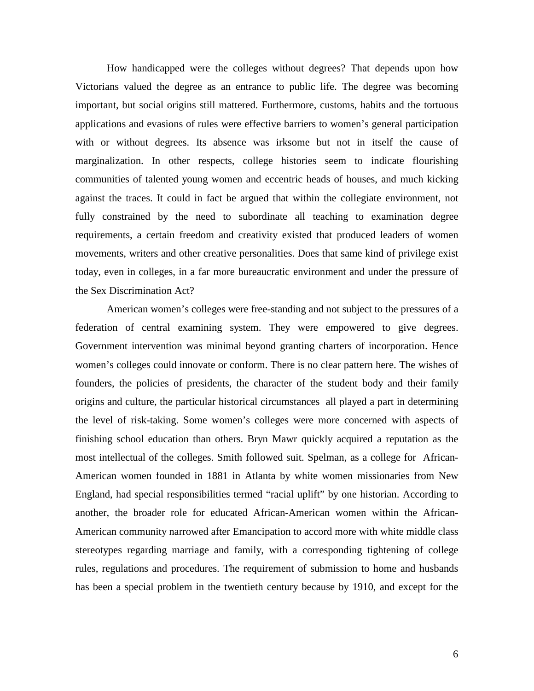How handicapped were the colleges without degrees? That depends upon how Victorians valued the degree as an entrance to public life. The degree was becoming important, but social origins still mattered. Furthermore, customs, habits and the tortuous applications and evasions of rules were effective barriers to women's general participation with or without degrees. Its absence was irksome but not in itself the cause of marginalization. In other respects, college histories seem to indicate flourishing communities of talented young women and eccentric heads of houses, and much kicking against the traces. It could in fact be argued that within the collegiate environment, not fully constrained by the need to subordinate all teaching to examination degree requirements, a certain freedom and creativity existed that produced leaders of women movements, writers and other creative personalities. Does that same kind of privilege exist today, even in colleges, in a far more bureaucratic environment and under the pressure of the Sex Discrimination Act?

American women's colleges were free-standing and not subject to the pressures of a federation of central examining system. They were empowered to give degrees. Government intervention was minimal beyond granting charters of incorporation. Hence women's colleges could innovate or conform. There is no clear pattern here. The wishes of founders, the policies of presidents, the character of the student body and their family origins and culture, the particular historical circumstances all played a part in determining the level of risk-taking. Some women's colleges were more concerned with aspects of finishing school education than others. Bryn Mawr quickly acquired a reputation as the most intellectual of the colleges. Smith followed suit. Spelman, as a college for African-American women founded in 1881 in Atlanta by white women missionaries from New England, had special responsibilities termed "racial uplift" by one historian. According to another, the broader role for educated African-American women within the African-American community narrowed after Emancipation to accord more with white middle class stereotypes regarding marriage and family, with a corresponding tightening of college rules, regulations and procedures. The requirement of submission to home and husbands has been a special problem in the twentieth century because by 1910, and except for the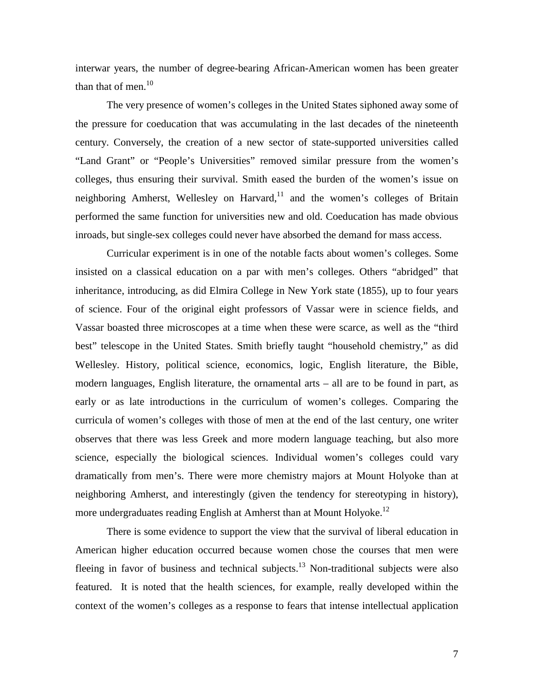interwar years, the number of degree-bearing African-American women has been greater than that of men. $10$ 

The very presence of women's colleges in the United States siphoned away some of the pressure for coeducation that was accumulating in the last decades of the nineteenth century. Conversely, the creation of a new sector of state-supported universities called "Land Grant" or "People's Universities" removed similar pressure from the women's colleges, thus ensuring their survival. Smith eased the burden of the women's issue on neighboring Amherst, Wellesley on Harvard, $11$  and the women's colleges of Britain performed the same function for universities new and old. Coeducation has made obvious inroads, but single-sex colleges could never have absorbed the demand for mass access.

Curricular experiment is in one of the notable facts about women's colleges. Some insisted on a classical education on a par with men's colleges. Others "abridged" that inheritance, introducing, as did Elmira College in New York state (1855), up to four years of science. Four of the original eight professors of Vassar were in science fields, and Vassar boasted three microscopes at a time when these were scarce, as well as the "third best" telescope in the United States. Smith briefly taught "household chemistry," as did Wellesley. History, political science, economics, logic, English literature, the Bible, modern languages, English literature, the ornamental arts – all are to be found in part, as early or as late introductions in the curriculum of women's colleges. Comparing the curricula of women's colleges with those of men at the end of the last century, one writer observes that there was less Greek and more modern language teaching, but also more science, especially the biological sciences. Individual women's colleges could vary dramatically from men's. There were more chemistry majors at Mount Holyoke than at neighboring Amherst, and interestingly (given the tendency for stereotyping in history), more undergraduates reading English at Amherst than at Mount Holyoke.<sup>12</sup>

There is some evidence to support the view that the survival of liberal education in American higher education occurred because women chose the courses that men were fleeing in favor of business and technical subjects.<sup>13</sup> Non-traditional subjects were also featured. It is noted that the health sciences, for example, really developed within the context of the women's colleges as a response to fears that intense intellectual application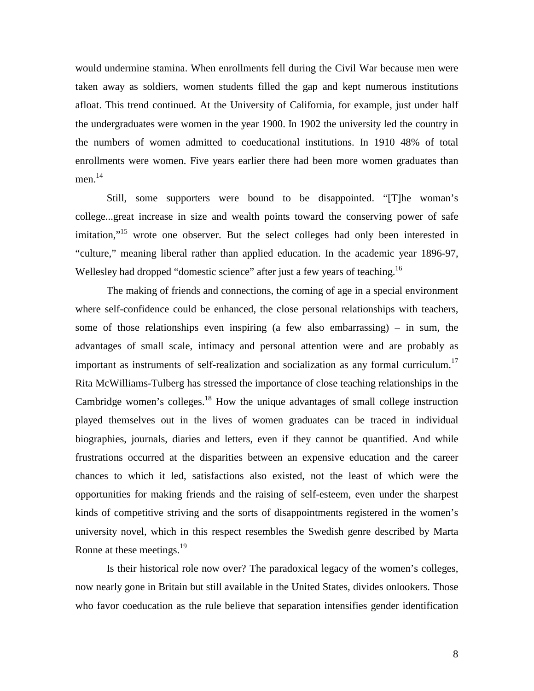would undermine stamina. When enrollments fell during the Civil War because men were taken away as soldiers, women students filled the gap and kept numerous institutions afloat. This trend continued. At the University of California, for example, just under half the undergraduates were women in the year 1900. In 1902 the university led the country in the numbers of women admitted to coeducational institutions. In 1910 48% of total enrollments were women. Five years earlier there had been more women graduates than men.<sup>14</sup>

Still, some supporters were bound to be disappointed. "[T]he woman's college...great increase in size and wealth points toward the conserving power of safe imitation,"<sup>15</sup> wrote one observer. But the select colleges had only been interested in "culture," meaning liberal rather than applied education. In the academic year 1896-97, Wellesley had dropped "domestic science" after just a few years of teaching.<sup>16</sup>

The making of friends and connections, the coming of age in a special environment where self-confidence could be enhanced, the close personal relationships with teachers, some of those relationships even inspiring (a few also embarrassing) – in sum, the advantages of small scale, intimacy and personal attention were and are probably as important as instruments of self-realization and socialization as any formal curriculum.<sup>17</sup> Rita McWilliams-Tulberg has stressed the importance of close teaching relationships in the Cambridge women's colleges.<sup>18</sup> How the unique advantages of small college instruction played themselves out in the lives of women graduates can be traced in individual biographies, journals, diaries and letters, even if they cannot be quantified. And while frustrations occurred at the disparities between an expensive education and the career chances to which it led, satisfactions also existed, not the least of which were the opportunities for making friends and the raising of self-esteem, even under the sharpest kinds of competitive striving and the sorts of disappointments registered in the women's university novel, which in this respect resembles the Swedish genre described by Marta Ronne at these meetings.<sup>[19](#page-9-0)</sup>

Is their historical role now over? The paradoxical legacy of the women's colleges, now nearly gone in Britain but still available in the United States, divides onlookers. Those who favor coeducation as the rule believe that separation intensifies gender identification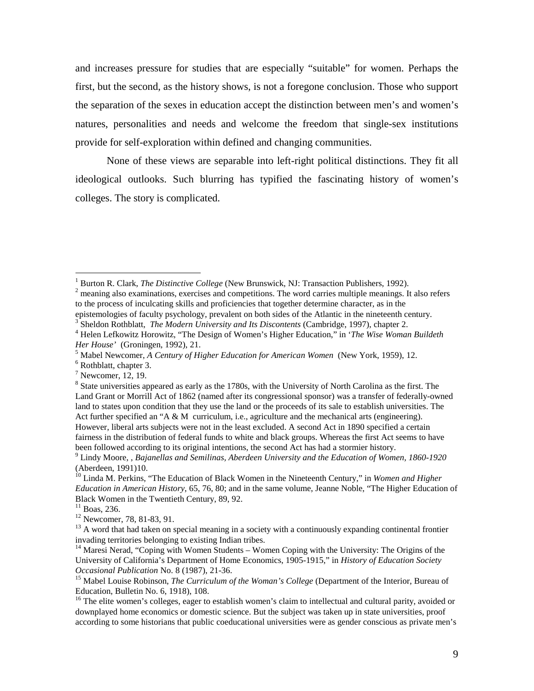and increases pressure for studies that are especially "suitable" for women. Perhaps the first, but the second, as the history shows, is not a foregone conclusion. Those who support the separation of the sexes in education accept the distinction between men's and women's natures, personalities and needs and welcome the freedom that single-sex institutions provide for self-exploration within defined and changing communities.

None of these views are separable into left-right political distinctions. They fit all ideological outlooks. Such blurring has typified the fascinating history of women's colleges. The story is complicated.

 $\overline{a}$ 

 $11$  Boas, 236.

12 Newcomer, 78, 81-83, 91.

<sup>1</sup> Burton R. Clark, *The Distinctive College* (New Brunswick, NJ: Transaction Publishers, 1992).

 $2$  meaning also examinations, exercises and competitions. The word carries multiple meanings. It also refers to the process of inculcating skills and proficiencies that together determine character, as in the epistemologies of faculty psychology, prevalent on both sides of the Atlantic in the nineteenth century.

<sup>&</sup>lt;sup>3</sup> Sheldon Rothblatt, *The Modern University and Its Discontents* (Cambridge, 1997), chapter 2.

<sup>4</sup> Helen Lefkowitz Horowitz, "The Design of Women's Higher Education," in '*The Wise Woman Buildeth*

*Her House'* (Groningen, 1992), 21.

<sup>5</sup> Mabel Newcomer, *A Century of Higher Education for American Women* (New York, 1959), 12.

<sup>&</sup>lt;sup>6</sup> Rothblatt, chapter 3.

 $7$  Newcomer, 12, 19.

<sup>&</sup>lt;sup>8</sup> State universities appeared as early as the 1780s, with the University of North Carolina as the first. The Land Grant or Morrill Act of 1862 (named after its congressional sponsor) was a transfer of federally-owned land to states upon condition that they use the land or the proceeds of its sale to establish universities. The Act further specified an "A & M curriculum, i.e., agriculture and the mechanical arts (engineering). However, liberal arts subjects were not in the least excluded. A second Act in 1890 specified a certain fairness in the distribution of federal funds to white and black groups. Whereas the first Act seems to have been followed according to its original intentions, the second Act has had a stormier history.

<sup>9</sup> Lindy Moore, , *Bajanellas and Semilinas, Aberdeen University and the Education of Women, 1860-1920* (Aberdeen, 1991)10.

<sup>10</sup> Linda M. Perkins, "The Education of Black Women in the Nineteenth Century," in *Women and Higher Education in American History*, 65, 76, 80; and in the same volume, Jeanne Noble, "The Higher Education of Black Women in the Twentieth Century, 89, 92.

<sup>&</sup>lt;sup>13</sup> A word that had taken on special meaning in a society with a continuously expanding continental frontier invading territories belonging to existing Indian tribes.

<sup>&</sup>lt;sup>14</sup> Maresi Nerad, "Coping with Women Students – Women Coping with the University: The Origins of the University of California's Department of Home Economics, 1905-1915," in *History of Education Society Occasional Publication* No. 8 (1987), 21-36.

<sup>&</sup>lt;sup>15</sup> Mabel Louise Robinson, *The Curriculum of the Woman's College* (Department of the Interior, Bureau of Education, Bulletin No. 6, 1918), 108.

<sup>&</sup>lt;sup>16</sup> The elite women's colleges, eager to establish women's claim to intellectual and cultural parity, avoided or downplayed home economics or domestic science. But the subject was taken up in state universities, proof according to some historians that public coeducational universities were as gender conscious as private men's